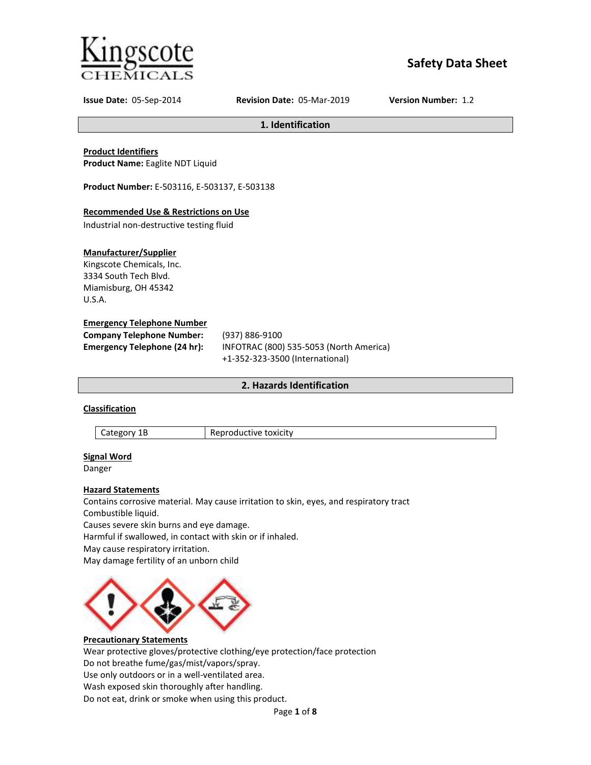

# **Safety Data Sheet**

**Issue Date:** 05-Sep-2014 **Revision Date:** 05-Mar-2019 **Version Number:** 1.2

**1. Identification**

# **Product Identifiers**

**Product Name:** Eaglite NDT Liquid

**Product Number:** E-503116, E-503137, E-503138

# **Recommended Use & Restrictions on Use**

Industrial non-destructive testing fluid

# **Manufacturer/Supplier**

Kingscote Chemicals, Inc. 3334 South Tech Blvd. Miamisburg, OH 45342 U.S.A.

# **Emergency Telephone Number**

| <b>Company Telephone Number:</b>    | (937) 886-9100                          |  |
|-------------------------------------|-----------------------------------------|--|
| <b>Emergency Telephone (24 hr):</b> | INFOTRAC (800) 535-5053 (North America) |  |
|                                     | +1-352-323-3500 (International)         |  |

# **2. Hazards Identification**

# **Classification**

Category 1B Reproductive toxicity

# **Signal Word**

Danger

# **Hazard Statements**

Contains corrosive material. May cause irritation to skin, eyes, and respiratory tract Combustible liquid. Causes severe skin burns and eye damage. Harmful if swallowed, in contact with skin or if inhaled.

May cause respiratory irritation.

May damage fertility of an unborn child



# **Precautionary Statements**

Wear protective gloves/protective clothing/eye protection/face protection Do not breathe fume/gas/mist/vapors/spray. Use only outdoors or in a well-ventilated area. Wash exposed skin thoroughly after handling. Do not eat, drink or smoke when using this product.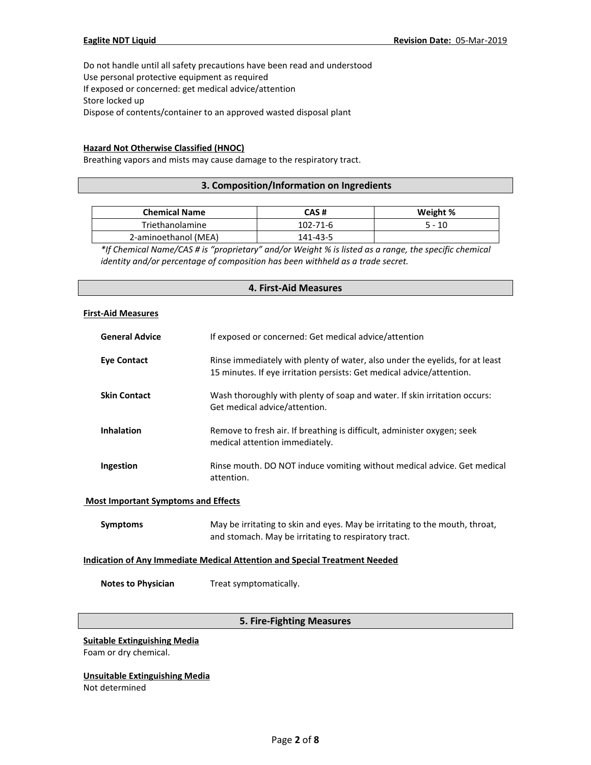Do not handle until all safety precautions have been read and understood Use personal protective equipment as required If exposed or concerned: get medical advice/attention Store locked up Dispose of contents/container to an approved wasted disposal plant

## **Hazard Not Otherwise Classified (HNOC)**

Breathing vapors and mists may cause damage to the respiratory tract.

# **3. Composition/Information on Ingredients**

| <b>Chemical Name</b> | CAS #          | Weight % |
|----------------------|----------------|----------|
| Triethanolamine      | $102 - 71 - 6$ | 5 - 10   |
| 2-aminoethanol (MEA) | 141-43-5       |          |

*\*If Chemical Name/CAS # is "proprietary" and/or Weight % is listed as a range, the specific chemical identity and/or percentage of composition has been withheld as a trade secret.*

## **4. First-Aid Measures**

#### **First-Aid Measures**

| <b>General Advice</b>                                                             | If exposed or concerned: Get medical advice/attention                                                                                                 |  |  |
|-----------------------------------------------------------------------------------|-------------------------------------------------------------------------------------------------------------------------------------------------------|--|--|
| <b>Eye Contact</b>                                                                | Rinse immediately with plenty of water, also under the eyelids, for at least<br>15 minutes. If eye irritation persists: Get medical advice/attention. |  |  |
| <b>Skin Contact</b>                                                               | Wash thoroughly with plenty of soap and water. If skin irritation occurs:<br>Get medical advice/attention.                                            |  |  |
| <b>Inhalation</b>                                                                 | Remove to fresh air. If breathing is difficult, administer oxygen; seek<br>medical attention immediately.                                             |  |  |
| Ingestion                                                                         | Rinse mouth. DO NOT induce vomiting without medical advice. Get medical<br>attention.                                                                 |  |  |
| <b>Most Important Symptoms and Effects</b>                                        |                                                                                                                                                       |  |  |
| <b>Symptoms</b>                                                                   | May be irritating to skin and eyes. May be irritating to the mouth, throat,<br>and stomach. May be irritating to respiratory tract.                   |  |  |
| <b>Indication of Any Immediate Medical Attention and Special Treatment Needed</b> |                                                                                                                                                       |  |  |

**Notes to Physician** Treat symptomatically.

# **5. Fire-Fighting Measures**

**Suitable Extinguishing Media** Foam or dry chemical.

**Unsuitable Extinguishing Media** Not determined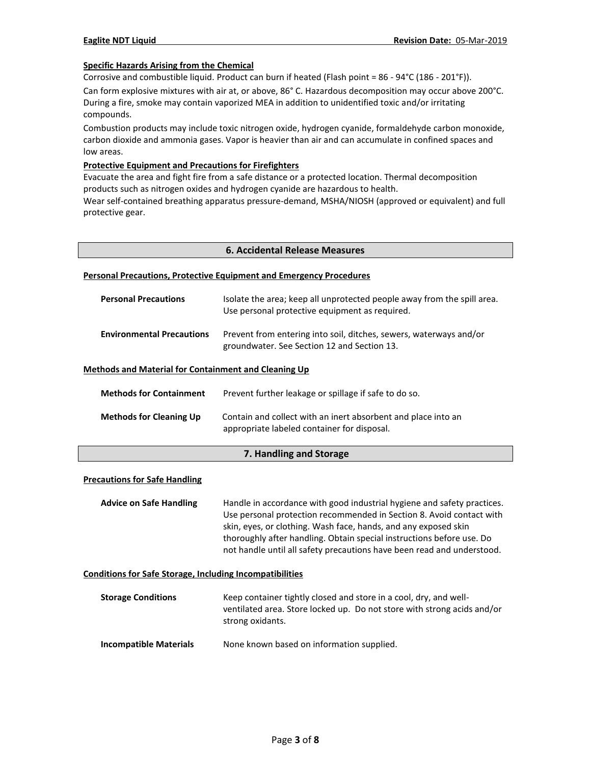#### **Specific Hazards Arising from the Chemical**

Corrosive and combustible liquid. Product can burn if heated (Flash point = 86 - 94°C (186 - 201°F)).

Can form explosive mixtures with air at, or above, 86° C. Hazardous decomposition may occur above 200°C. During a fire, smoke may contain vaporized MEA in addition to unidentified toxic and/or irritating compounds.

Combustion products may include toxic nitrogen oxide, hydrogen cyanide, formaldehyde carbon monoxide, carbon dioxide and ammonia gases. Vapor is heavier than air and can accumulate in confined spaces and low areas.

#### **Protective Equipment and Precautions for Firefighters**

Evacuate the area and fight fire from a safe distance or a protected location. Thermal decomposition products such as nitrogen oxides and hydrogen cyanide are hazardous to health.

Wear self-contained breathing apparatus pressure-demand, MSHA/NIOSH (approved or equivalent) and full protective gear.

#### **Personal Precautions, Protective Equipment and Emergency Procedures**

| <b>Personal Precautions</b>      | Isolate the area; keep all unprotected people away from the spill area.<br>Use personal protective equipment as required. |
|----------------------------------|---------------------------------------------------------------------------------------------------------------------------|
| <b>Environmental Precautions</b> | Prevent from entering into soil, ditches, sewers, waterways and/or<br>groundwater. See Section 12 and Section 13.         |

#### **Methods and Material for Containment and Cleaning Up**

| <b>Methods for Containment</b> | Prevent further leakage or spillage if safe to do so.                                                        |
|--------------------------------|--------------------------------------------------------------------------------------------------------------|
| <b>Methods for Cleaning Up</b> | Contain and collect with an inert absorbent and place into an<br>appropriate labeled container for disposal. |

#### **7. Handling and Storage**

#### **Precautions for Safe Handling**

**Advice on Safe Handling** Handle in accordance with good industrial hygiene and safety practices. Use personal protection recommended in Section 8. Avoid contact with skin, eyes, or clothing. Wash face, hands, and any exposed skin thoroughly after handling. Obtain special instructions before use. Do not handle until all safety precautions have been read and understood.

#### **Conditions for Safe Storage, Including Incompatibilities**

| <b>Storage Conditions</b>     | Keep container tightly closed and store in a cool, dry, and well-<br>ventilated area. Store locked up. Do not store with strong acids and/or<br>strong oxidants. |
|-------------------------------|------------------------------------------------------------------------------------------------------------------------------------------------------------------|
| <b>Incompatible Materials</b> | None known based on information supplied.                                                                                                                        |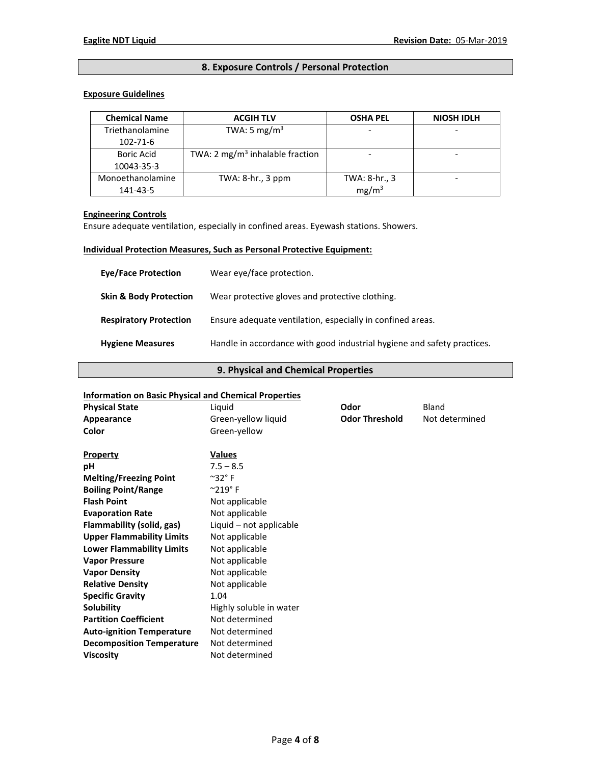# **8. Exposure Controls / Personal Protection**

### **Exposure Guidelines**

| <b>Chemical Name</b> | <b>ACGIH TLV</b>                            | <b>OSHA PEL</b>   | <b>NIOSH IDLH</b> |
|----------------------|---------------------------------------------|-------------------|-------------------|
| Triethanolamine      | TWA: 5 mg/m <sup>3</sup>                    |                   |                   |
| 102-71-6             |                                             |                   |                   |
| <b>Boric Acid</b>    | TWA: 2 mg/m <sup>3</sup> inhalable fraction |                   |                   |
| 10043-35-3           |                                             |                   |                   |
| Monoethanolamine     | TWA: $8-hr.$ , $3 ppm$                      | TWA: 8-hr., 3     |                   |
| 141-43-5             |                                             | mg/m <sup>3</sup> |                   |

# **Engineering Controls**

Ensure adequate ventilation, especially in confined areas. Eyewash stations. Showers.

# **Individual Protection Measures, Such as Personal Protective Equipment:**

| <b>Eve/Face Protection</b>        | Wear eye/face protection.                                               |
|-----------------------------------|-------------------------------------------------------------------------|
| <b>Skin &amp; Body Protection</b> | Wear protective gloves and protective clothing.                         |
| <b>Respiratory Protection</b>     | Ensure adequate ventilation, especially in confined areas.              |
| <b>Hygiene Measures</b>           | Handle in accordance with good industrial hygiene and safety practices. |

## **9. Physical and Chemical Properties**

#### **Information on Basic Physical and Chemical Properties**

| <b>Physical State</b>            | Liquid                    | Odor                  | <b>Bland</b>   |
|----------------------------------|---------------------------|-----------------------|----------------|
| Appearance                       | Green-yellow liquid       | <b>Odor Threshold</b> | Not determined |
| Color                            | Green-yellow              |                       |                |
| <b>Property</b>                  | <b>Values</b>             |                       |                |
| рH                               | $7.5 - 8.5$               |                       |                |
| <b>Melting/Freezing Point</b>    | $^{\sim}$ 32 $^{\circ}$ F |                       |                |
| <b>Boiling Point/Range</b>       | $^{\circ}219^{\circ}$ F   |                       |                |
| <b>Flash Point</b>               | Not applicable            |                       |                |
| <b>Evaporation Rate</b>          | Not applicable            |                       |                |
| Flammability (solid, gas)        | Liquid - not applicable   |                       |                |
| <b>Upper Flammability Limits</b> | Not applicable            |                       |                |
| <b>Lower Flammability Limits</b> | Not applicable            |                       |                |
| <b>Vapor Pressure</b>            | Not applicable            |                       |                |
| <b>Vapor Density</b>             | Not applicable            |                       |                |
| <b>Relative Density</b>          | Not applicable            |                       |                |
| <b>Specific Gravity</b>          | 1.04                      |                       |                |
| Solubility                       | Highly soluble in water   |                       |                |
| <b>Partition Coefficient</b>     | Not determined            |                       |                |
| <b>Auto-ignition Temperature</b> | Not determined            |                       |                |
| <b>Decomposition Temperature</b> | Not determined            |                       |                |
| <b>Viscosity</b>                 | Not determined            |                       |                |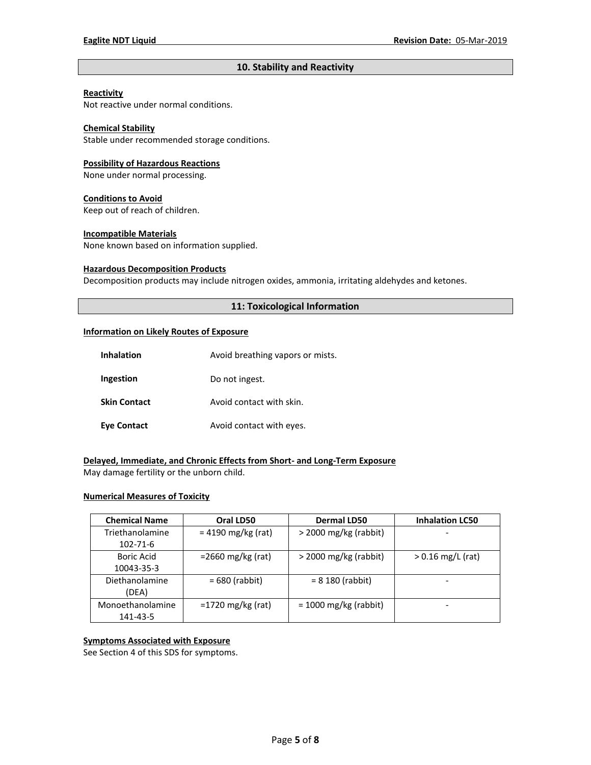# **10. Stability and Reactivity**

#### **Reactivity**

Not reactive under normal conditions.

# **Chemical Stability**

Stable under recommended storage conditions.

#### **Possibility of Hazardous Reactions**

None under normal processing.

#### **Conditions to Avoid**

Keep out of reach of children.

#### **Incompatible Materials**

None known based on information supplied.

#### **Hazardous Decomposition Products**

Decomposition products may include nitrogen oxides, ammonia, irritating aldehydes and ketones.

## **11: Toxicological Information**

#### **Information on Likely Routes of Exposure**

| <b>Inhalation</b>   | Avoid breathing vapors or mists. |  |
|---------------------|----------------------------------|--|
| Ingestion           | Do not ingest.                   |  |
| <b>Skin Contact</b> | Avoid contact with skin.         |  |
| <b>Eye Contact</b>  | Avoid contact with eyes.         |  |

# **Delayed, Immediate, and Chronic Effects from Short- and Long-Term Exposure**

May damage fertility or the unborn child.

# **Numerical Measures of Toxicity**

| <b>Chemical Name</b> | Oral LD50            | <b>Dermal LD50</b>      | <b>Inhalation LC50</b> |
|----------------------|----------------------|-------------------------|------------------------|
| Triethanolamine      | $= 4190$ mg/kg (rat) | $>$ 2000 mg/kg (rabbit) |                        |
| 102-71-6             |                      |                         |                        |
| Boric Acid           | $=$ 2660 mg/kg (rat) | $>$ 2000 mg/kg (rabbit) | $> 0.16$ mg/L (rat)    |
| 10043-35-3           |                      |                         |                        |
| Diethanolamine       | $= 680$ (rabbit)     | $= 8180$ (rabbit)       |                        |
| (DEA)                |                      |                         |                        |
| Monoethanolamine     | $=1720$ mg/kg (rat)  | $= 1000$ mg/kg (rabbit) |                        |
| 141-43-5             |                      |                         |                        |

## **Symptoms Associated with Exposure**

See Section 4 of this SDS for symptoms.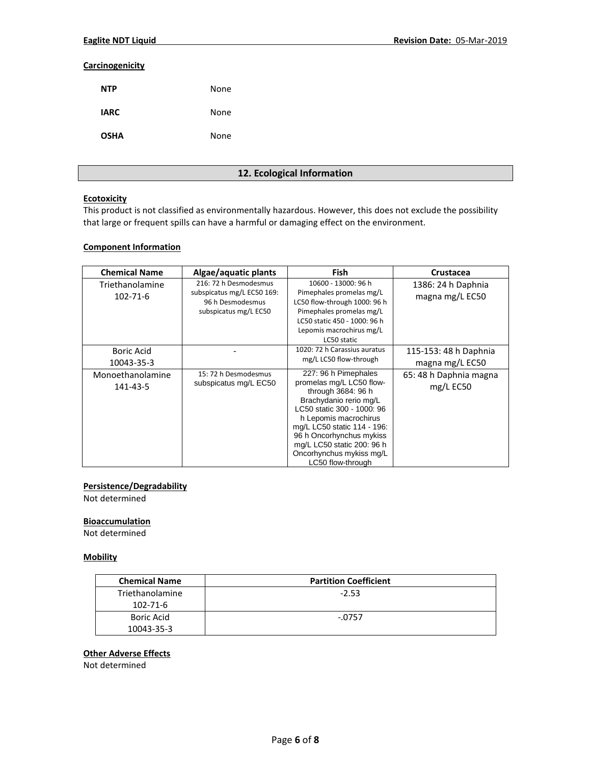### **Carcinogenicity**

| <b>NTP</b>  | None |
|-------------|------|
| <b>IARC</b> | None |
| <b>OSHA</b> | None |

# **12. Ecological Information**

## **Ecotoxicity**

This product is not classified as environmentally hazardous. However, this does not exclude the possibility that large or frequent spills can have a harmful or damaging effect on the environment.

# **Component Information**

| <b>Chemical Name</b>              | Algae/aquatic plants                                                                             | <b>Fish</b>                                                                                                                                                                                                                                                                                       | Crustacea                                |
|-----------------------------------|--------------------------------------------------------------------------------------------------|---------------------------------------------------------------------------------------------------------------------------------------------------------------------------------------------------------------------------------------------------------------------------------------------------|------------------------------------------|
| Triethanolamine<br>$102 - 71 - 6$ | 216: 72 h Desmodesmus<br>subspicatus mg/L EC50 169:<br>96 h Desmodesmus<br>subspicatus mg/L EC50 | 10600 - 13000: 96 h<br>Pimephales promelas mg/L<br>LC50 flow-through 1000: 96 h<br>Pimephales promelas mg/L<br>LC50 static 450 - 1000: 96 h<br>Lepomis macrochirus mg/L<br>LC50 static                                                                                                            | 1386: 24 h Daphnia<br>magna mg/L EC50    |
| Boric Acid<br>10043-35-3          |                                                                                                  | 1020: 72 h Carassius auratus<br>mg/L LC50 flow-through                                                                                                                                                                                                                                            | 115-153: 48 h Daphnia<br>magna mg/L EC50 |
| Monoethanolamine<br>141-43-5      | 15: 72 h Desmodesmus<br>subspicatus mg/L EC50                                                    | 227: 96 h Pimephales<br>promelas mg/L LC50 flow-<br>through 3684: 96 h<br>Brachydanio rerio mg/L<br>LC50 static 300 - 1000: 96<br>h Lepomis macrochirus<br>mg/L LC50 static 114 - 196:<br>96 h Oncorhynchus mykiss<br>mg/L LC50 static 200: 96 h<br>Oncorhynchus mykiss mg/L<br>LC50 flow-through | 65: 48 h Daphnia magna<br>$mg/L$ EC50    |

#### **Persistence/Degradability**

Not determined

# **Bioaccumulation**

Not determined

## **Mobility**

| <b>Chemical Name</b> | <b>Partition Coefficient</b> |
|----------------------|------------------------------|
| Triethanolamine      | $-2.53$                      |
| 102-71-6             |                              |
| <b>Boric Acid</b>    | $-.0757$                     |
| 10043-35-3           |                              |

# **Other Adverse Effects**

Not determined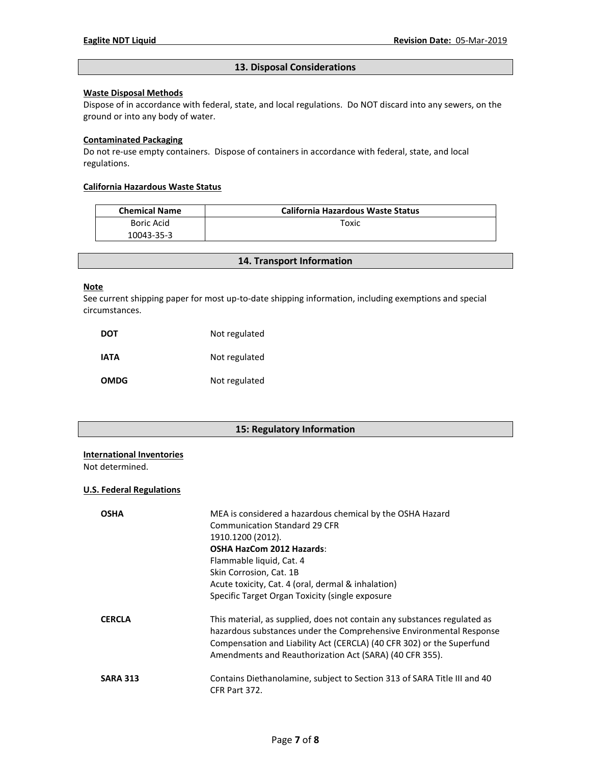# **13. Disposal Considerations**

# **Waste Disposal Methods**

Dispose of in accordance with federal, state, and local regulations. Do NOT discard into any sewers, on the ground or into any body of water.

#### **Contaminated Packaging**

Do not re-use empty containers.Dispose of containers in accordance with federal, state, and local regulations.

### **California Hazardous Waste Status**

| <b>Chemical Name</b> | <b>California Hazardous Waste Status</b> |
|----------------------|------------------------------------------|
| Boric Acid           | тохіс                                    |
| 10043-35-3           |                                          |

# **14. Transport Information**

#### **Note**

See current shipping paper for most up-to-date shipping information, including exemptions and special circumstances.

| DOT         | Not regulated |
|-------------|---------------|
| IATA        | Not regulated |
| <b>OMDG</b> | Not regulated |

# **15: Regulatory Information**

#### **International Inventories**

Not determined.

### **U.S. Federal Regulations**

| <b>OSHA</b>     | MEA is considered a hazardous chemical by the OSHA Hazard<br><b>Communication Standard 29 CFR</b><br>1910.1200 (2012).<br><b>OSHA HazCom 2012 Hazards:</b><br>Flammable liquid, Cat. 4<br>Skin Corrosion, Cat. 1B<br>Acute toxicity, Cat. 4 (oral, dermal & inhalation)<br>Specific Target Organ Toxicity (single exposure |
|-----------------|----------------------------------------------------------------------------------------------------------------------------------------------------------------------------------------------------------------------------------------------------------------------------------------------------------------------------|
| <b>CERCLA</b>   | This material, as supplied, does not contain any substances regulated as<br>hazardous substances under the Comprehensive Environmental Response<br>Compensation and Liability Act (CERCLA) (40 CFR 302) or the Superfund<br>Amendments and Reauthorization Act (SARA) (40 CFR 355).                                        |
| <b>SARA 313</b> | Contains Diethanolamine, subject to Section 313 of SARA Title III and 40<br>CFR Part 372.                                                                                                                                                                                                                                  |